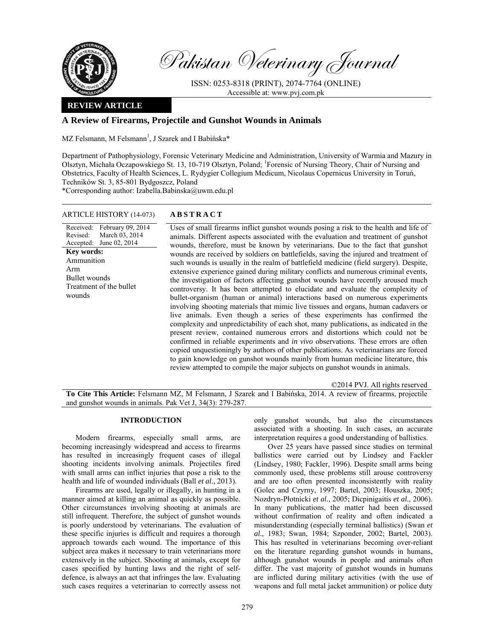

Pakistan Veterinary Journal

ISSN: 0253-8318 (PRINT), 2074-7764 (ONLINE) Accessible at: www.pvj.com.pk

## **REVIEW ARTICLE**

# **A Review of Firearms, Projectile and Gunshot Wounds in Animals**

MZ Felsmann, M Felsmann<sup>1</sup>, J Szarek and I Babińska\*

Department of Pathophysiology, Forensic Veterinary Medicine and Administration, University of Warmia and Mazury in Olsztyn, Michała Oczapowskiego St. 13, 10-719 Olsztyn, Poland; <sup>1</sup>Forensic of Nursing Theory, Chair of Nursing and Obstetrics, Faculty of Health Sciences, L. Rydygier Collegium Medicum, Nicolaus Copernicus University in Toruń, Techników St. 3, 85-801 Bydgoszcz, Poland

\*Corresponding author: Izabella.Babinska@uwm.edu.pl

### ARTICLE HISTORY (14-073) **ABSTRACT**

Received: February 09, 2014 Revised: Accepted: June 02, 2014 March 03, 2014 **Key words:**  Ammunition Arm Bullet wounds Treatment of the bullet wounds

 Uses of small firearms inflict gunshot wounds posing a risk to the health and life of animals. Different aspects associated with the evaluation and treatment of gunshot wounds, therefore, must be known by veterinarians. Due to the fact that gunshot wounds are received by soldiers on battlefields, saving the injured and treatment of such wounds is usually in the realm of battlefield medicine (field surgery). Despite, extensive experience gained during military conflicts and numerous criminal events, the investigation of factors affecting gunshot wounds have recently aroused much controversy. It has been attempted to elucidate and evaluate the complexity of bullet-organism (human or animal) interactions based on numerous experiments involving shooting materials that mimic live tissues and organs, human cadavers or live animals. Even though a series of these experiments has confirmed the complexity and unpredictability of each shot, many publications, as indicated in the present review, contained numerous errors and distortions which could not be confirmed in reliable experiments and *in vivo* observations. These errors are often copied unquestioningly by authors of other publications. As veterinarians are forced to gain knowledge on gunshot wounds mainly from human medicine literature, this review attempted to compile the major subjects on gunshot wounds in animals.

©2014 PVJ. All rights reserved

**To Cite This Article:** Felsmann MZ, M Felsmann, J Szarek and I Babińska, 2014. A review of firearms, projectile and gunshot wounds in animals. Pak Vet J, 34(3): 279-287.

#### **INTRODUCTION**

Modern firearms, especially small arms, are becoming increasingly widespread and access to firearms has resulted in increasingly frequent cases of illegal shooting incidents involving animals. Projectiles fired with small arms can inflict injuries that pose a risk to the health and life of wounded individuals (Ball *et al.*, 2013).

Firearms are used, legally or illegally, in hunting in a manner aimed at killing an animal as quickly as possible. Other circumstances involving shooting at animals are still infrequent. Therefore, the subject of gunshot wounds is poorly understood by veterinarians. The evaluation of these specific injuries is difficult and requires a thorough approach towards each wound. The importance of this subject area makes it necessary to train veterinarians more extensively in the subject. Shooting at animals, except for cases specified by hunting laws and the right of selfdefence, is always an act that infringes the law. Evaluating such cases requires a veterinarian to correctly assess not

only gunshot wounds, but also the circumstances associated with a shooting. In such cases, an accurate interpretation requires a good understanding of ballistics.

Over 25 years have passed since studies on terminal ballistics were carried out by Lindsey and Fackler (Lindsey, 1980; Fackler, 1996). Despite small arms being commonly used, these problems still arouse controversy and are too often presented inconsistently with reality (Golec and Czyrny, 1997; Bartel, 2003; Houszka, 2005; Nozdryn-Płotnicki *et al.*, 2005; Dicpinigaitis *et al.*, 2006). In many publications, the matter had been discussed without confirmation of reality and often indicated a misunderstanding (especially terminal ballistics) (Swan *et al.*, 1983; Swan, 1984; Szponder, 2002; Bartel, 2003). This has resulted in veterinarians becoming over-reliant on the literature regarding gunshot wounds in humans, although gunshot wounds in people and animals often differ. The vast majority of gunshot wounds in humans are inflicted during military activities (with the use of weapons and full metal jacket ammunition) or police duty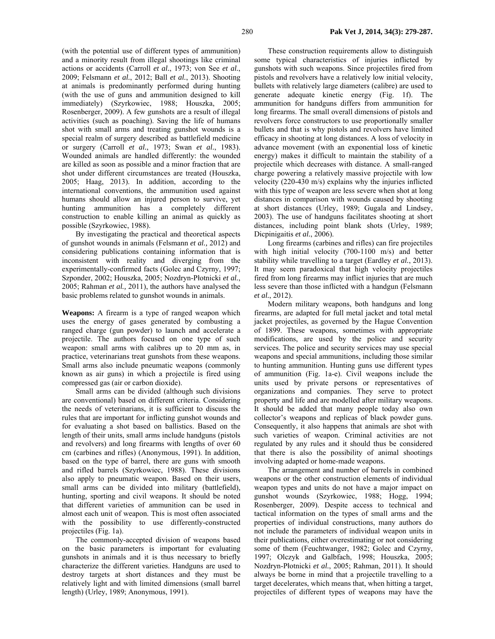(with the potential use of different types of ammunition) and a minority result from illegal shootings like criminal actions or accidents (Carroll *et al.*, 1973; von See *et al.*, 2009; Felsmann *et al.*, 2012; Ball *et al.*, 2013). Shooting at animals is predominantly performed during hunting (with the use of guns and ammunition designed to kill immediately) (Szyrkowiec, 1988; Houszka, 2005; Rosenberger, 2009). A few gunshots are a result of illegal activities (such as poaching). Saving the life of humans shot with small arms and treating gunshot wounds is a special realm of surgery described as battlefield medicine or surgery (Carroll *et al.*, 1973; Swan *et al.*, 1983). Wounded animals are handled differently: the wounded are killed as soon as possible and a minor fraction that are shot under different circumstances are treated (Houszka, 2005; Haag, 2013). In addition, according to the international conventions, the ammunition used against humans should allow an injured person to survive, yet hunting ammunition has a completely different construction to enable killing an animal as quickly as possible (Szyrkowiec, 1988).

By investigating the practical and theoretical aspects of gunshot wounds in animals (Felsmann *et al.,* 2012) and considering publications containing information that is inconsistent with reality and diverging from the experimentally-confirmed facts (Golec and Czyrny, 1997; Szponder, 2002; Houszka, 2005; Nozdryn-Płotnicki *et al.*, 2005; Rahman *et al.,* 2011), the authors have analysed the basic problems related to gunshot wounds in animals.

**Weapons:** A firearm is a type of ranged weapon which uses the energy of gases generated by combusting a ranged charge (gun powder) to launch and accelerate a projectile. The authors focused on one type of such weapon: small arms with calibres up to 20 mm as, in practice, veterinarians treat gunshots from these weapons. Small arms also include pneumatic weapons (commonly known as air guns) in which a projectile is fired using compressed gas (air or carbon dioxide).

Small arms can be divided (although such divisions are conventional) based on different criteria. Considering the needs of veterinarians, it is sufficient to discuss the rules that are important for inflicting gunshot wounds and for evaluating a shot based on ballistics. Based on the length of their units, small arms include handguns (pistols and revolvers) and long firearms with lengths of over 60 cm (carbines and rifles) (Anonymous, 1991). In addition, based on the type of barrel, there are guns with smooth and rifled barrels (Szyrkowiec, 1988). These divisions also apply to pneumatic weapon. Based on their users, small arms can be divided into military (battlefield), hunting, sporting and civil weapons. It should be noted that different varieties of ammunition can be used in almost each unit of weapon. This is most often associated with the possibility to use differently-constructed projectiles (Fig. 1a).

The commonly-accepted division of weapons based on the basic parameters is important for evaluating gunshots in animals and it is thus necessary to briefly characterize the different varieties. Handguns are used to destroy targets at short distances and they must be relatively light and with limited dimensions (small barrel length) (Urley, 1989; Anonymous, 1991).

These construction requirements allow to distinguish some typical characteristics of injuries inflicted by gunshots with such weapons. Since projectiles fired from pistols and revolvers have a relatively low initial velocity, bullets with relatively large diameters (calibre) are used to generate adequate kinetic energy (Fig. 1f). The ammunition for handguns differs from ammunition for long firearms. The small overall dimensions of pistols and revolvers force constructors to use proportionally smaller bullets and that is why pistols and revolvers have limited efficacy in shooting at long distances. A loss of velocity in advance movement (with an exponential loss of kinetic energy) makes it difficult to maintain the stability of a projectile which decreases with distance. A small-ranged charge powering a relatively massive projectile with low velocity (220-430 m/s) explains why the injuries inflicted with this type of weapon are less severe when shot at long distances in comparison with wounds caused by shooting at short distances (Urley, 1989; Gugala and Lindsey, 2003). The use of handguns facilitates shooting at short distances, including point blank shots (Urley, 1989; Dicpinigaitis *et al.*, 2006).

Long firearms (carbines and rifles) can fire projectiles with high initial velocity (700-1100 m/s) and better stability while travelling to a target (Eardley *et al.*, 2013). It may seem paradoxical that high velocity projectiles fired from long firearms may inflict injuries that are much less severe than those inflicted with a handgun (Felsmann *et al.*, 2012).

Modern military weapons, both handguns and long firearms, are adapted for full metal jacket and total metal jacket projectiles, as governed by the Hague Convention of 1899. These weapons, sometimes with appropriate modifications, are used by the police and security services. The police and security services may use special weapons and special ammunitions, including those similar to hunting ammunition. Hunting guns use different types of ammunition (Fig. 1a-e). Civil weapons include the units used by private persons or representatives of organizations and companies. They serve to protect property and life and are modelled after military weapons. It should be added that many people today also own collector's weapons and replicas of black powder guns. Consequently, it also happens that animals are shot with such varieties of weapon. Criminal activities are not regulated by any rules and it should thus be considered that there is also the possibility of animal shootings involving adapted or home-made weapons.

The arrangement and number of barrels in combined weapons or the other construction elements of individual weapon types and units do not have a major impact on gunshot wounds (Szyrkowiec, 1988; Hogg, 1994; Rosenberger, 2009). Despite access to technical and tactical information on the types of small arms and the properties of individual constructions, many authors do not include the parameters of individual weapon units in their publications, either overestimating or not considering some of them (Feuchtwanger, 1982; Golec and Czyrny, 1997; Olczyk and Galbfach, 1998; Houszka, 2005; Nozdryn-Płotnicki *et al.*, 2005; Rahman, 2011). It should always be borne in mind that a projectile travelling to a target decelerates, which means that, when hitting a target, projectiles of different types of weapons may have the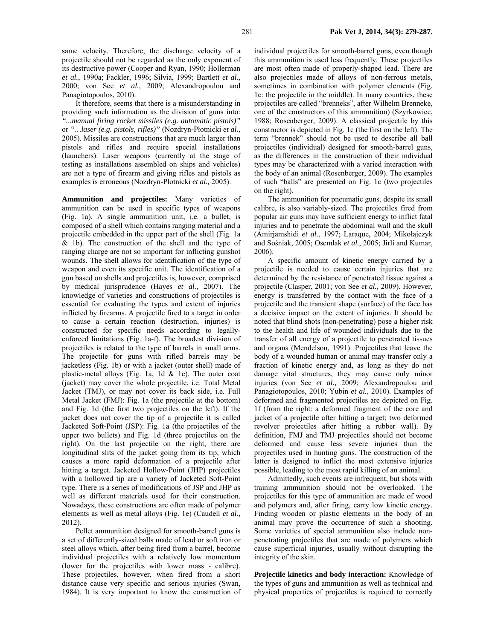same velocity. Therefore, the discharge velocity of a projectile should not be regarded as the only exponent of its destructive power (Cooper and Ryan, 1990; Hollerman *et al.*, 1990a; Fackler, 1996; Silvia, 1999; Bartlett *et al.,* 2000; von See *et al.,* 2009; Alexandropoulou and Panagiotopoulos, 2010).

It therefore, seems that there is a misunderstanding in providing such information as the division of guns into: *"...manual firing rocket missiles (e.g. automatic pistols)"*  or *"…laser (e.g. pistols, rifles)"* (Nozdryn-Płotnicki *et al.,* 2005). Missiles are constructions that are much larger than pistols and rifles and require special installations (launchers). Laser weapons (currently at the stage of testing as installations assembled on ships and vehicles) are not a type of firearm and giving rifles and pistols as examples is erroneous (Nozdryn-Płotnicki *et al.,* 2005).

**Ammunition and projectiles:** Many varieties of ammunition can be used in specific types of weapons (Fig. 1a). A single ammunition unit, i.e. a bullet, is composed of a shell which contains ranging material and a projectile embedded in the upper part of the shell (Fig. 1a & 1b). The construction of the shell and the type of ranging charge are not so important for inflicting gunshot wounds. The shell allows for identification of the type of weapon and even its specific unit. The identification of a gun based on shells and projectiles is, however, comprised by medical jurisprudence (Hayes *et al.*, 2007). The knowledge of varieties and constructions of projectiles is essential for evaluating the types and extent of injuries inflicted by firearms. A projectile fired to a target in order to cause a certain reaction (destruction, injuries) is constructed for specific needs according to legallyenforced limitations (Fig. 1a-f). The broadest division of projectiles is related to the type of barrels in small arms. The projectile for guns with rifled barrels may be jacketless (Fig. 1b) or with a jacket (outer shell) made of plastic-metal alloys (Fig. 1a, 1d  $&$  1e). The outer coat (jacket) may cover the whole projectile, i.e. Total Metal Jacket (TMJ), or may not cover its back side, i.e. Full Metal Jacket (FMJ): Fig. 1a (the projectile at the bottom) and Fig. 1d (the first two projectiles on the left). If the jacket does not cover the tip of a projectile it is called Jacketed Soft-Point (JSP): Fig. 1a (the projectiles of the upper two bullets) and Fig. 1d (three projectiles on the right). On the last projectile on the right, there are longitudinal slits of the jacket going from its tip, which causes a more rapid deformation of a projectile after hitting a target. Jacketed Hollow-Point (JHP) projectiles with a hollowed tip are a variety of Jacketed Soft-Point type. There is a series of modifications of JSP and JHP as well as different materials used for their construction. Nowadays, these constructions are often made of polymer elements as well as metal alloys (Fig. 1e) (Caudell *et al.,* 2012).

Pellet ammunition designed for smooth-barrel guns is a set of differently-sized balls made of lead or soft iron or steel alloys which, after being fired from a barrel, become individual projectiles with a relatively low momentum (lower for the projectiles with lower mass - calibre). These projectiles, however, when fired from a short distance cause very specific and serious injuries (Swan, 1984). It is very important to know the construction of individual projectiles for smooth-barrel guns, even though this ammunition is used less frequently. These projectiles are most often made of properly-shaped lead. There are also projectiles made of alloys of non-ferrous metals, sometimes in combination with polymer elements (Fig. 1c: the projectile in the middle). In many countries, these projectiles are called "brenneks", after Wilhelm Brenneke, one of the constructors of this ammunition) (Szyrkowiec, 1988; Rosenberger, 2009). A classical projectile by this constructor is depicted in Fig. 1c (the first on the left). The term "brennek" should not be used to describe all ball projectiles (individual) designed for smooth-barrel guns, as the differences in the construction of their individual types may be characterized with a varied interaction with the body of an animal (Rosenberger, 2009). The examples of such "balls" are presented on Fig. 1c (two projectiles on the right).

The ammunition for pneumatic guns, despite its small calibre, is also variably-sized. The projectiles fired from popular air guns may have sufficient energy to inflict fatal injuries and to penetrate the abdominal wall and the skull (Amirjamshidi *et al.*, 1997; Laraque, 2004; Mikołajczyk and Sośniak, 2005; Osemlak *et al.*, 2005; Jirli and Kumar, 2006).

A specific amount of kinetic energy carried by a projectile is needed to cause certain injuries that are determined by the resistance of penetrated tissue against a projectile (Clasper, 2001; von See *et al.,* 2009). However, energy is transferred by the contact with the face of a projectile and the transient shape (surface) of the face has a decisive impact on the extent of injuries. It should be noted that blind shots (non-penetrating) pose a higher risk to the health and life of wounded individuals due to the transfer of all energy of a projectile to penetrated tissues and organs (Mendelson, 1991). Projectiles that leave the body of a wounded human or animal may transfer only a fraction of kinetic energy and, as long as they do not damage vital structures, they may cause only minor injuries (von See *et al.,* 2009; Alexandropoulou and Panagiotopoulos, 2010; Yubin *et al.*, 2010). Examples of deformed and fragmented projectiles are depicted on Fig. 1f (from the right: a deformed fragment of the core and jacket of a projectile after hitting a target; two deformed revolver projectiles after hitting a rubber wall). By definition, FMJ and TMJ projectiles should not become deformed and cause less severe injuries than the projectiles used in hunting guns. The construction of the latter is designed to inflict the most extensive injuries possible, leading to the most rapid killing of an animal.

Admittedly, such events are infrequent, but shots with training ammunition should not be overlooked. The projectiles for this type of ammunition are made of wood and polymers and, after firing, carry low kinetic energy. Finding wooden or plastic elements in the body of an animal may prove the occurrence of such a shooting. Some varieties of special ammunition also include nonpenetrating projectiles that are made of polymers which cause superficial injuries, usually without disrupting the integrity of the skin.

**Projectile kinetics and body interaction:** Knowledge of the types of guns and ammunition as well as technical and physical properties of projectiles is required to correctly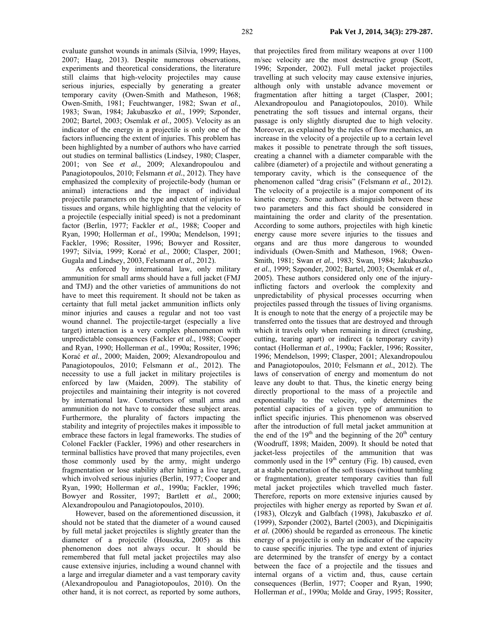evaluate gunshot wounds in animals (Silvia, 1999; Hayes, 2007; Haag, 2013). Despite numerous observations, experiments and theoretical considerations, the literature still claims that high-velocity projectiles may cause serious injuries, especially by generating a greater temporary cavity (Owen-Smith and Matheson, 1968; Owen-Smith, 1981; Feuchtwanger, 1982; Swan *et al.*, 1983; Swan, 1984; Jakubaszko *et al.*, 1999; Szponder, 2002; Bartel, 2003; Osemlak *et al.,* 2005). Velocity as an indicator of the energy in a projectile is only one of the factors influencing the extent of injuries. This problem has been highlighted by a number of authors who have carried out studies on terminal ballistics (Lindsey, 1980; Clasper, 2001; von See *et al.,* 2009; Alexandropoulou and Panagiotopoulos, 2010; Felsmann *et al.*, 2012). They have emphasized the complexity of projectile-body (human or animal) interactions and the impact of individual projectile parameters on the type and extent of injuries to tissues and organs, while highlighting that the velocity of a projectile (especially initial speed) is not a predominant factor (Berlin, 1977; Fackler *et al.*, 1988; Cooper and Ryan, 1990; Hollerman *et al.*, 1990a; Mendelson, 1991; Fackler, 1996; Rossiter, 1996; Bowyer and Rossiter, 1997; Silvia, 1999; Korać *et al.*, 2000; Clasper, 2001; Gugala and Lindsey, 2003, Felsmann *et al.*, 2012).

As enforced by international law, only military ammunition for small arms should have a full jacket (FMJ and TMJ) and the other varieties of ammunitions do not have to meet this requirement. It should not be taken as certainty that full metal jacket ammunition inflicts only minor injuries and causes a regular and not too vast wound channel. The projectile-target (especially a live target) interaction is a very complex phenomenon with unpredictable consequences (Fackler *et al.*, 1988; Cooper and Ryan, 1990; Hollerman *et al.*, 1990a; Rossiter, 1996; Korać *et al.*, 2000; Maiden, 2009; Alexandropoulou and Panagiotopoulos, 2010; Felsmann *et al.*, 2012). The necessity to use a full jacket in military projectiles is enforced by law (Maiden, 2009). The stability of projectiles and maintaining their integrity is not covered by international law. Constructors of small arms and ammunition do not have to consider these subject areas. Furthermore, the plurality of factors impacting the stability and integrity of projectiles makes it impossible to embrace these factors in legal frameworks. The studies of Colonel Fackler (Fackler, 1996) and other researchers in terminal ballistics have proved that many projectiles, even those commonly used by the army, might undergo fragmentation or lose stability after hitting a live target, which involved serious injuries (Berlin, 1977; Cooper and Ryan, 1990; Hollerman *et al.*, 1990a; Fackler, 1996; Bowyer and Rossiter, 1997; Bartlett *et al.*, 2000; Alexandropoulou and Panagiotopoulos, 2010).

However, based on the aforementioned discussion, it should not be stated that the diameter of a wound caused by full metal jacket projectiles is slightly greater than the diameter of a projectile (Houszka, 2005) as this phenomenon does not always occur. It should be remembered that full metal jacket projectiles may also cause extensive injuries, including a wound channel with a large and irregular diameter and a vast temporary cavity (Alexandropoulou and Panagiotopoulos, 2010). On the other hand, it is not correct, as reported by some authors, that projectiles fired from military weapons at over 1100 m/sec velocity are the most destructive group (Scott, 1996; Szponder, 2002). Full metal jacket projectiles travelling at such velocity may cause extensive injuries, although only with unstable advance movement or fragmentation after hitting a target (Clasper, 2001; Alexandropoulou and Panagiotopoulos, 2010). While penetrating the soft tissues and internal organs, their passage is only slightly disrupted due to high velocity. Moreover, as explained by the rules of flow mechanics, an increase in the velocity of a projectile up to a certain level makes it possible to penetrate through the soft tissues, creating a channel with a diameter comparable with the calibre (diameter) of a projectile and without generating a temporary cavity, which is the consequence of the phenomenon called "drag crisis" (Felsmann *et al.*, 2012). The velocity of a projectile is a major component of its kinetic energy. Some authors distinguish between these two parameters and this fact should be considered in maintaining the order and clarity of the presentation. According to some authors, projectiles with high kinetic energy cause more severe injuries to the tissues and organs and are thus more dangerous to wounded individuals (Owen-Smith and Matheson, 1968; Owen-Smith, 1981; Swan *et al.*, 1983; Swan, 1984; Jakubaszko *et al.*, 1999; Szponder, 2002; Bartel, 2003; Osemlak *et al.*, 2005). These authors considered only one of the injuryinflicting factors and overlook the complexity and unpredictability of physical processes occurring when projectiles passed through the tissues of living organisms. It is enough to note that the energy of a projectile may be transferred onto the tissues that are destroyed and through which it travels only when remaining in direct (crushing, cutting, tearing apart) or indirect (a temporary cavity) contact (Hollerman *et al.*, 1990a; Fackler, 1996; Rossiter, 1996; Mendelson, 1999; Clasper, 2001; Alexandropoulou and Panagiotopoulos, 2010; Felsmann *et al.*, 2012). The laws of conservation of energy and momentum do not leave any doubt to that. Thus, the kinetic energy being directly proportional to the mass of a projectile and exponentially to the velocity, only determines the potential capacities of a given type of ammunition to inflict specific injuries. This phenomenon was observed after the introduction of full metal jacket ammunition at the end of the  $19<sup>th</sup>$  and the beginning of the  $20<sup>th</sup>$  century (Woodruff, 1898; Maiden, 2009). It should be noted that jacket-less projectiles of the ammunition that was commonly used in the  $19<sup>th</sup>$  century (Fig. 1b) caused, even at a stable penetration of the soft tissues (without tumbling or fragmentation), greater temporary cavities than full metal jacket projectiles which travelled much faster. Therefore, reports on more extensive injuries caused by projectiles with higher energy as reported by Swan *et al.* (1983), Olczyk and Galbfach (1998), Jakubaszko *et al.* (1999), Szponder (2002), Bartel (2003), and Dicpinigaitis *et al.* (2006) should be regarded as erroneous. The kinetic energy of a projectile is only an indicator of the capacity to cause specific injuries. The type and extent of injuries are determined by the transfer of energy by a contact between the face of a projectile and the tissues and internal organs of a victim and, thus, cause certain consequences (Berlin, 1977; Cooper and Ryan, 1990; Hollerman *et al.*, 1990a; Molde and Gray, 1995; Rossiter,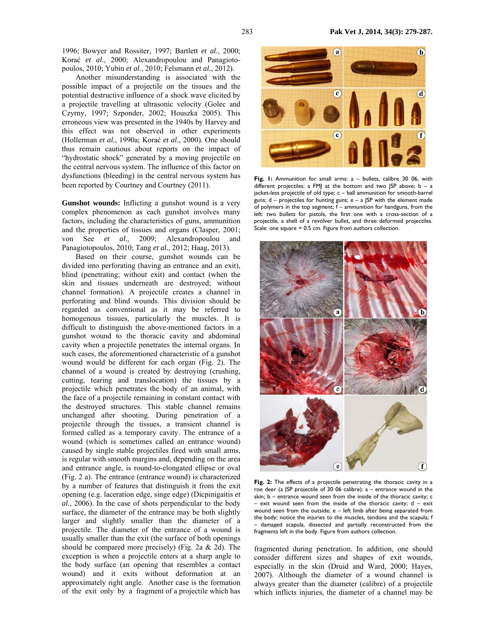1996; Bowyer and Rossiter, 1997; Bartlett *et al.*, 2000; Korać *et al.*, 2000; Alexandropoulou and Panagiotopoulos, 2010; Yubin *et al.*, 2010; Felsmann *et al.*, 2012).

Another misunderstanding is associated with the possible impact of a projectile on the tissues and the potential destructive influence of a shock wave elicited by a projectile travelling at ultrasonic velocity (Golec and Czyrny, 1997; Szponder, 2002; Houszka 2005). This erroneous view was presented in the 1940s by Harvey and this effect was not observed in other experiments (Hollerman *et al.*, 1990a; Korać *et al.*, 2000). One should thus remain cautious about reports on the impact of "hydrostatic shock" generated by a moving projectile on the central nervous system. The influence of this factor on dysfunctions (bleeding) in the central nervous system has been reported by Courtney and Courtney (2011).

**Gunshot wounds:** Inflicting a gunshot wound is a very complex phenomenon as each gunshot involves many factors, including the characteristics of guns, ammunition and the properties of tissues and organs (Clasper, 2001; von See *et al.,* 2009; Alexandropoulou and Panagiotopoulos, 2010; Tang *et al.,* 2012; Haag, 2013).

Based on their course, gunshot wounds can be divided into perforating (having an entrance and an exit), blind (penetrating; without exit) and contact (when the skin and tissues underneath are destroyed; without channel formation). A projectile creates a channel in perforating and blind wounds. This division should be regarded as conventional as it may be referred to homogenous tissues, particularly the muscles. It is difficult to distinguish the above-mentioned factors in a gunshot wound to the thoracic cavity and abdominal cavity when a projectile penetrates the internal organs. In such cases, the aforementioned characteristic of a gunshot wound would be different for each organ (Fig. 2). The channel of a wound is created by destroying (crushing, cutting, tearing and translocation) the tissues by a projectile which penetrates the body of an animal, with the face of a projectile remaining in constant contact with the destroyed structures. This stable channel remains unchanged after shooting. During penetration of a projectile through the tissues, a transient channel is formed called as a temporary cavity. The entrance of a wound (which is sometimes called an entrance wound) caused by single stable projectiles fired with small arms, is regular with smooth margins and, depending on the area and entrance angle, is round-to-elongated ellipse or oval (Fig. 2 a). The entrance (entrance wound) is characterized by a number of features that distinguish it from the exit opening (e.g. laceration edge, singe edge) (Dicpinigaitis *et al.*, 2006). In the case of shots perpendicular to the body surface, the diameter of the entrance may be both slightly larger and slightly smaller than the diameter of a projectile. The diameter of the entrance of a wound is usually smaller than the exit (the surface of both openings should be compared more precisely) (Fig. 2a & 2d). The exception is when a projectile enters at a sharp angle to the body surface (an opening that resembles a contact wound) and it exits without deformation at an approximately right angle. Another case is the formation of the exit only by a fragment of a projectile which has



**Fig. 1:** Ammunition for small arms: a – bullets, calibre 30 06, with different projectiles: a FMJ at the bottom and two JSP above;  $b - a$ jacket-less projectile of old type; c – ball ammunition for smooth-barrel guns;  $d -$  projectiles for hunting guns;  $e - a$  JSP with the element made of polymers in the top segment;  $\tilde{f}$  – ammunition for handguns, from the left: two bullets for pistols, the first one with a cross-section of a projectile, a shell of a revolver bullet, and three deformed projectiles. Scale: one square = 0.5 cm. Figure from authors collection.



Fig. 2: The effects of a projectile penetrating the thoracic cavity in a roe deer (a JSP projectile of 30 06 calibre): a – entrance wound in the skin; b – entrance wound seen from the inside of the thoracic cavity; c exit wound seen from the inside of the thoracic cavity;  $d - e$ xit wound seen from the outside; e – left limb after being separated from the body; notice the injuries to the muscles, tendons and the scapula; f – damaged scapula, dissected and partially reconstructed from the fragments left in the body. Figure from authors collection.

fragmented during penetration. In addition, one should consider different sizes and shapes of exit wounds, especially in the skin (Druid and Ward, 2000; Hayes, 2007). Although the diameter of a wound channel is always greater than the diameter (calibre) of a projectile which inflicts injuries, the diameter of a channel may be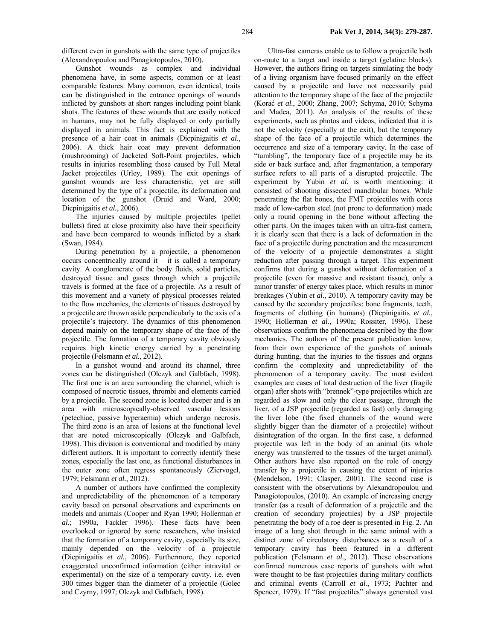different even in gunshots with the same type of projectiles (Alexandropoulou and Panagiotopoulos, 2010).

Gunshot wounds as complex and individual phenomena have, in some aspects, common or at least comparable features. Many common, even identical, traits can be distinguished in the entrance openings of wounds inflicted by gunshots at short ranges including point blank shots. The features of these wounds that are easily noticed in humans, may not be fully displayed or only partially displayed in animals. This fact is explained with the presence of a hair coat in animals (Dicpinigaitis *et al.*, 2006). A thick hair coat may prevent deformation (mushrooming) of Jacketed Soft-Point projectiles, which results in injuries resembling those caused by Full Metal Jacket projectiles (Urley, 1989). The exit openings of gunshot wounds are less characteristic, yet are still determined by the type of a projectile, its deformation and location of the gunshot (Druid and Ward, 2000; Dicpinigaitis et al., 2006).

The injuries caused by multiple projectiles (pellet bullets) fired at close proximity also have their specificity and have been compared to wounds inflicted by a shark (Swan, 1984).

During penetration by a projectile, a phenomenon occurs concentrically around it – it is called a temporary cavity. A conglomerate of the body fluids, solid particles, destroyed tissue and gases through which a projectile travels is formed at the face of a projectile. As a result of this movement and a variety of physical processes related to the flow mechanics, the elements of tissues destroyed by a projectile are thrown aside perpendicularly to the axis of a projectile's trajectory. The dynamics of this phenomenon depend mainly on the temporary shape of the face of the projectile. The formation of a temporary cavity obviously requires high kinetic energy carried by a penetrating projectile (Felsmann *et al.*, 2012).

In a gunshot wound and around its channel, three zones can be distinguished (Olczyk and Galbfach, 1998). The first one is an area surrounding the channel, which is composed of necrotic tissues, thrombi and elements carried by a projectile. The second zone is located deeper and is an area with microscopically-observed vascular lesions (petechiae, passive hyperaemia) which undergo necrosis. The third zone is an area of lesions at the functional level that are noted microscopically (Olczyk and Galbfach, 1998). This division is conventional and modified by many different authors. It is important to correctly identify these zones, especially the last one, as functional disturbances in the outer zone often regress spontaneously (Ziervogel, 1979; Felsmann *et al.*, 2012).

A number of authors have confirmed the complexity and unpredictability of the phenomenon of a temporary cavity based on personal observations and experiments on models and animals (Cooper and Ryan 1990; Hollerman *et al.*; 1990a, Fackler 1996). These facts have been overlooked or ignored by some researchers, who insisted that the formation of a temporary cavity, especially its size, mainly depended on the velocity of a projectile (Dicpinigaitis *et al.*, 2006). Furthermore, they reported exaggerated unconfirmed information (either intravital or experimental) on the size of a temporary cavity, i.e. even 300 times bigger than the diameter of a projectile (Golec and Czyrny, 1997; Olczyk and Galbfach, 1998).

Ultra-fast cameras enable us to follow a projectile both on-route to a target and inside a target (gelatine blocks). However, the authors firing on targets simulating the body of a living organism have focused primarily on the effect caused by a projectile and have not necessarily paid attention to the temporary shape of the face of the projectile (Korać *et al.*, 2000; Zhang, 2007; Schyma, 2010; Schyma and Madea, 2011). An analysis of the results of these experiments, such as photos and videos, indicated that it is not the velocity (especially at the exit), but the temporary shape of the face of a projectile which determines the occurrence and size of a temporary cavity. In the case of "tumbling", the temporary face of a projectile may be its side or back surface and, after fragmentation, a temporary surface refers to all parts of a disrupted projectile. The experiment by Yubin *et al.* is worth mentioning: it consisted of shooting dissected mandibular bones. While penetrating the flat bones, the FMT projectiles with cores made of low-carbon steel (not prone to deformation) made only a round opening in the bone without affecting the other parts. On the images taken with an ultra-fast camera, it is clearly seen that there is a lack of deformation in the face of a projectile during penetration and the measurement of the velocity of a projectile demonstrates a slight reduction after passing through a target. This experiment confirms that during a gunshot without deformation of a projectile (even for massive and resistant tissue), only a minor transfer of energy takes place, which results in minor breakages (Yubin *et al.*, 2010). A temporary cavity may be caused by the secondary projectiles: bone fragments, teeth, fragments of clothing (in humans) (Dicpinigaitis *et al.*, 1990; Hollerman *et al.*, 1990a; Rossiter, 1996). These observations confirm the phenomena described by the flow mechanics. The authors of the present publication know, from their own experience of the gunshots of animals during hunting, that the injuries to the tissues and organs confirm the complexity and unpredictability of the phenomenon of a temporary cavity. The most evident examples are cases of total destruction of the liver (fragile organ) after shots with "brennek"-type projectiles which are regarded as slow and only the clear passage, through the liver, of a JSP projectile (regarded as fast) only damaging the liver lobe (the fixed channels of the wound were slightly bigger than the diameter of a projectile) without disintegration of the organ. In the first case, a deformed projectile was left in the body of an animal (its whole energy was transferred to the tissues of the target animal). Other authors have also reported on the role of energy transfer by a projectile in causing the extent of injuries (Mendelson, 1991; Clasper, 2001). The second case is consistent with the observations by Alexandropoulou and Panagiotopoulos, (2010). An example of increasing energy transfer (as a result of deformation of a projectile and the creation of secondary projectiles) by a JSP projectile penetrating the body of a roe deer is presented in Fig. 2. An image of a lung shot through in the same animal with a distinct zone of circulatory disturbances as a result of a temporary cavity has been featured in a different publication (Felsmann *et al.*, 2012). These observations confirmed numerous case reports of gunshots with what were thought to be fast projectiles during military conflicts and criminal events (Carroll *et al.*, 1973; Pachter and Spencer, 1979). If "fast projectiles" always generated vast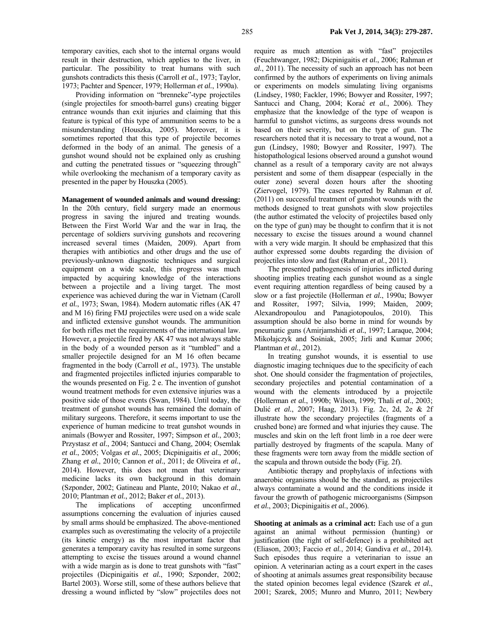temporary cavities, each shot to the internal organs would result in their destruction, which applies to the liver, in particular. The possibility to treat humans with such gunshots contradicts this thesis (Carroll *et al.*, 1973; Taylor, 1973; Pachter and Spencer, 1979; Hollerman *et al.*, 1990a).

Providing information on "brenneke"-type projectiles (single projectiles for smooth-barrel guns) creating bigger entrance wounds than exit injuries and claiming that this feature is typical of this type of ammunition seems to be a misunderstanding (Houszka, 2005). Moreover, it is sometimes reported that this type of projectile becomes deformed in the body of an animal. The genesis of a gunshot wound should not be explained only as crushing and cutting the penetrated tissues or "squeezing through" while overlooking the mechanism of a temporary cavity as presented in the paper by Houszka (2005).

**Management of wounded animals and wound dressing:**  In the 20th century, field surgery made an enormous progress in saving the injured and treating wounds. Between the First World War and the war in Iraq, the percentage of soldiers surviving gunshots and recovering increased several times (Maiden, 2009). Apart from therapies with antibiotics and other drugs and the use of previously-unknown diagnostic techniques and surgical equipment on a wide scale, this progress was much impacted by acquiring knowledge of the interactions between a projectile and a living target. The most experience was achieved during the war in Vietnam (Caroll *et al.*, 1973; Swan, 1984). Modern automatic rifles (AK 47 and M 16) firing FMJ projectiles were used on a wide scale and inflicted extensive gunshot wounds. The ammunition for both rifles met the requirements of the international law. However, a projectile fired by AK 47 was not always stable in the body of a wounded person as it "tumbled" and a smaller projectile designed for an M 16 often became fragmented in the body (Carroll *et al.*, 1973). The unstable and fragmented projectiles inflicted injuries comparable to the wounds presented on Fig. 2 e. The invention of gunshot wound treatment methods for even extensive injuries was a positive side of those events (Swan, 1984). Until today, the treatment of gunshot wounds has remained the domain of military surgeons. Therefore, it seems important to use the experience of human medicine to treat gunshot wounds in animals (Bowyer and Rossiter, 1997; Simpson *et al.*, 2003; Przystasz *et al.*, 2004; Santucci and Chang, 2004; Osemlak *et al.*, 2005; Volgas *et al.*, 2005; Dicpinigaitis *et al.*, 2006; Zhang *et al.*, 2010; Cannon *et al.*, 2011; de Oliveira *et al.*, 2014). However, this does not mean that veterinary medicine lacks its own background in this domain (Szponder, 2002; Gatineau and Plante, 2010; Nakao *et al.*, 2010; Plantman *et al.*, 2012; Baker *et al.*, 2013).

The implications of accepting unconfirmed assumptions concerning the evaluation of injuries caused by small arms should be emphasized. The above-mentioned examples such as overestimating the velocity of a projectile (its kinetic energy) as the most important factor that generates a temporary cavity has resulted in some surgeons attempting to excise the tissues around a wound channel with a wide margin as is done to treat gunshots with "fast" projectiles (Dicpinigaitis *et al.*, 1990; Szponder, 2002; Bartel 2003). Worse still, some of these authors believe that dressing a wound inflicted by "slow" projectiles does not

require as much attention as with "fast" projectiles (Feuchtwanger, 1982; Dicpinigaitis *et al.*, 2006; Rahman *et al.*, 2011). The necessity of such an approach has not been confirmed by the authors of experiments on living animals or experiments on models simulating living organisms (Lindsey, 1980; Fackler, 1996; Bowyer and Rossiter, 1997; Santucci and Chang, 2004; Korać *et al.*, 2006). They emphasize that the knowledge of the type of weapon is harmful to gunshot victims, as surgeons dress wounds not based on their severity, but on the type of gun. The researchers noted that it is necessary to treat a wound, not a gun (Lindsey, 1980; Bowyer and Rossiter, 1997). The histopathological lesions observed around a gunshot wound channel as a result of a temporary cavity are not always persistent and some of them disappear (especially in the outer zone) several dozen hours after the shooting (Ziervogel, 1979). The cases reported by Rahman *et al.* (2011) on successful treatment of gunshot wounds with the methods designed to treat gunshots with slow projectiles (the author estimated the velocity of projectiles based only on the type of gun) may be thought to confirm that it is not necessary to excise the tissues around a wound channel with a very wide margin. It should be emphasized that this author expressed some doubts regarding the division of projectiles into slow and fast (Rahman *et al.*, 2011).

The presented pathogenesis of injuries inflicted during shooting implies treating each gunshot wound as a single event requiring attention regardless of being caused by a slow or a fast projectile (Hollerman *et al.*, 1990a; Bowyer and Rossiter, 1997; Silvia, 1999; Maiden, 2009; Alexandropoulou and Panagiotopoulos, 2010). This assumption should be also borne in mind for wounds by pneumatic guns (Amirjamshidi *et al.*, 1997; Laraque, 2004; Mikołajczyk and Sośniak, 2005; Jirli and Kumar 2006; Plantman *et al.*, 2012).

In treating gunshot wounds, it is essential to use diagnostic imaging techniques due to the specificity of each shot. One should consider the fragmentation of projectiles, secondary projectiles and potential contamination of a wound with the elements introduced by a projectile (Hollerman *et al.*, 1990b; Wilson, 1999; Thali *et al.*, 2003; Dulić *et al.*, 2007; Haag, 2013). Fig. 2c, 2d, 2e & 2f illustrate how the secondary projectiles (fragments of a crushed bone) are formed and what injuries they cause. The muscles and skin on the left front limb in a roe deer were partially destroyed by fragments of the scapula. Many of these fragments were torn away from the middle section of the scapula and thrown outside the body (Fig. 2f).

Antibiotic therapy and prophylaxis of infections with anaerobic organisms should be the standard, as projectiles always contaminate a wound and the conditions inside it favour the growth of pathogenic microorganisms (Simpson *et al.*, 2003; Dicpinigaitis *et al.*, 2006).

**Shooting at animals as a criminal act:** Each use of a gun against an animal without permission (hunting) or justification (the right of self-defence) is a prohibited act (Eliason, 2003; Faccio *et al.*, 2014; Gandiva *et al.*, 2014). Such episodes thus require a veterinarian to issue an opinion. A veterinarian acting as a court expert in the cases of shooting at animals assumes great responsibility because the stated opinion becomes legal evidence (Szarek *et al.*, 2001; Szarek, 2005; Munro and Munro, 2011; Newbery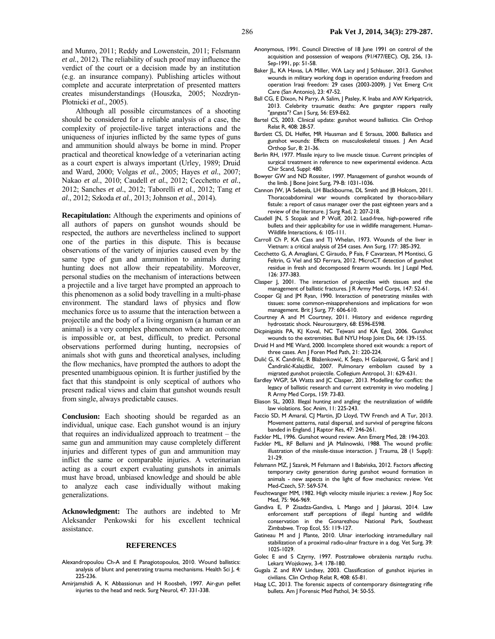and Munro, 2011; Reddy and Lowenstein, 2011; Felsmann *et al.*, 2012). The reliability of such proof may influence the verdict of the court or a decision made by an institution (e.g. an insurance company). Publishing articles without complete and accurate interpretation of presented matters creates misunderstandings (Houszka, 2005; Nozdryn-Płotnicki *et al.*, 2005).

Although all possible circumstances of a shooting should be considered for a reliable analysis of a case, the complexity of projectile-live target interactions and the uniqueness of injuries inflicted by the same types of guns and ammunition should always be borne in mind. Proper practical and theoretical knowledge of a veterinarian acting as a court expert is always important (Urley, 1989; Druid and Ward, 2000; Volgas *et al.*, 2005; Hayes *et al.*, 2007; Nakao *et al.*, 2010; Caudell *et al.*, 2012; Cecchetto *et al.*, 2012; Sanches *et al.*, 2012; Taborelli *et al.*, 2012; Tang *et al.*, 2012; Szkoda *et al.*, 2013; Johnson *et al.*, 2014).

**Recapitulation:** Although the experiments and opinions of all authors of papers on gunshot wounds should be respected, the authors are nevertheless inclined to support one of the parties in this dispute. This is because observations of the variety of injuries caused even by the same type of gun and ammunition to animals during hunting does not allow their repeatability. Moreover, personal studies on the mechanism of interactions between a projectile and a live target have prompted an approach to this phenomenon as a solid body travelling in a multi-phase environment. The standard laws of physics and flow mechanics force us to assume that the interaction between a projectile and the body of a living organism (a human or an animal) is a very complex phenomenon where an outcome is impossible or, at best, difficult, to predict. Personal observations performed during hunting, necropsies of animals shot with guns and theoretical analyses, including the flow mechanics, have prompted the authors to adopt the presented unambiguous opinion. It is further justified by the fact that this standpoint is only sceptical of authors who present radical views and claim that gunshot wounds result from single, always predictable causes.

**Conclusion:** Each shooting should be regarded as an individual, unique case. Each gunshot wound is an injury that requires an individualized approach to treatment – the same gun and ammunition may cause completely different injuries and different types of gun and ammunition may inflict the same or comparable injuries. A veterinarian acting as a court expert evaluating gunshots in animals must have broad, unbiased knowledge and should be able to analyze each case individually without making generalizations.

**Acknowledgment:** The authors are indebted to Mr Aleksander Penkowski for his excellent technical assistance.

#### **REFERENCES**

- Alexandropoulou Ch-A and E Panagiotopoulos, 2010. Wound ballistics: analysis of blunt and penetrating trauma mechanisms. Health Sci J, 4: 225-236.
- Amirjamshidi A, K Abbassionun and H Roosbeh, 1997. Air-gun pellet injuries to the head and neck. Surg Neurol, 47: 331-338.
- Anonymous, 1991. Council Directive of 18 June 1991 on control of the acquisition and possession of weapons (91/477/EEC). OJL 256, 13- Sep-1991, pp: 51-58.
- Baker JL, KA Havas, LA Miller, WA Lacy and J Schlauser, 2013. Gunshot wounds in military working dogs in operation enduring freedom and operation Iraqi freedom: 29 cases (2003-2009). J Vet Emerg Crit Care (San Antonio), 23: 47-52.
- Ball CG, E Dixon, N Parry, A Salim, J Pasley, K Inaba and AW Kirkpatrick, 2013. Celebrity traumatic deaths: Are gangster rappers really "gangsta"? Can J Surg, 56: E59-E62.
- Bartel CS, 2003. Clinical update: gunshot wound ballistics. Clin Orthop Relat R, 408: 28-57.
- Bartlett CS, DL Helfet, MR Hausman and E Strauss, 2000. Ballistics and gunshot wounds: Effects on musculoskeletal tissues. J Am Acad Orthop Sur, 8: 21-36.
- Berlin RH, 1977. Missile injury to live muscle tissue. Current principles of surgical treatment in reference to new experimental evidence. Acta Chir Scand, Suppl: 480.
- Bowyer GW and ND Rossiter, 1997. Management of gunshot wounds of the limb. J Bone Joint Surg, 79-B: 1031-1036.
- Cannon JW, JA Sebesla, LH Blackbourne, DL Smith and JB Holcom, 2011. Thoracoabdominal war wounds complicated by thoraco-biliary fistule: a report of casus manager over the past eighteen years and a review of the literature. J Surg Rad, 2: 207-218.
- Caudell JN, S Stopak and P Wolf, 2012. Lead-free, high-powered rifle bullets and their applicability for use in wildlife management. Human-Wildlife Interactions, 6: 105-111.
- Carroll Ch P, KA Cass and TJ Whelan, 1973. Wounds of the liver in Vietnam: a critical analysis of 254 cases. Ann Surg, 177: 385-392.
- Cecchetto G, A Amagliani, C Giraudo, P Fais, F Cavarzean, M Montisci, G Feltrin, G Viel and SD Ferrara, 2012. MicroCT detection of gunshot residue in fresh and decomposed firearm wounds. Int J Legal Med, 126: 377-383.
- Clasper J, 2001. The interaction of projectiles with tissues and the management of ballistic fractures. J R Army Med Corps, 147: 52-61.
- Cooper GJ and JM Ryan, 1990. Interaction of penetrating missiles with tissues: some common-misapprehensions and implications for won management. Brit J Surg, 77: 606-610.
- Courtney A and M Courtney, 2011. History and evidence regarding hydrostatic shock. Neurosurgery, 68: E596-E598.
- Dicpinigaitis PA, KJ Koval, NC Tejwani and KA Egol, 2006. Gunshot wounds to the extremities. Bull NYU Hosp Joint Dis, 64: 139-155.
- Druid H and ME Ward, 2000. Incomplete shored exit wounds: a report of three cases. Am J Foren Med Path, 21: 220-224.
- Dulić G, K Čandrilić, R Blaženkowić, K Šego, H Gašparović, G Šarić and J Čandralić-Kalajdžić, 2007. Pulmonary embolism caused by a migrated gunshot projectile. Collegium Antropol, 31: 629-631.
- Eardley WGP, SA Watts and JC Clasper, 2013. Modelling for conflict: the legacy of ballistic research and current extremity in vivo modeling. | R Army Med Corps, 159: 73-83.
- Eliason SL, 2003. Illegal hunting and angling: the neutralization of wildlife law violations. Soc Anim, 11: 225-243.
- Faccio SD, M Amaral, CJ Martin, JD Lloyd, TW French and A Tur, 2013. Movement patterns, natal dispersal, and survival of peregrine falcons banded in England. J Raptor Res, 47: 246-261.
- Fackler ML, 1996. Gunshot wound review. Ann Emerg Med, 28: 194-203.
- Fackler ML, RF Bellami and JA Malinowski, 1988. The wound profile: illustration of the missile-tissue interaction. J Trauma, 28 (1 Suppl): 21-29.
- Felsmann MZ, J Szarek, M Felsmann and I Babińska, 2012. Factors affecting temporary cavity generation during gunshot wound formation in animals - new aspects in the light of flow mechanics: review. Vet Med-Czech, 57: 569-574.
- Feuchtwanger MM, 1982. High velocity missile injuries: a review. J Roy Soc Med, 75: 966-969.
- Gandiva E, P Zisadza-Gandiva, L Mango and J Jakarasi, 2014. Law enforcement staff perceptions of illegal hunting and wildlife conservation in the Gonarezhou National Park, Southeast Zimbabwe. Trop Ecol, 55: 119-127.
- Gatineau M and I Plante, 2010. Ulnar interlocking intramedullary nail stabilization of a proximal radio-ulnar fracture in a dog. Vet Surg, 39: 1025-1029.
- Golec E and S Czyrny, 1997. Postrzałowe obrażenia narządu ruchu. Lekarz Wojskowy, 3-4: 178-180.
- Gugala Z and RW Lindsey, 2003. Classification of gunshot injuries in civilians. Clin Orthop Relat R, 408: 65-81.
- Haag LC, 2013. The forensic aspects of contemporary disintegrating rifle bullets. Am J Forensic Med Pathol, 34: 50-55.